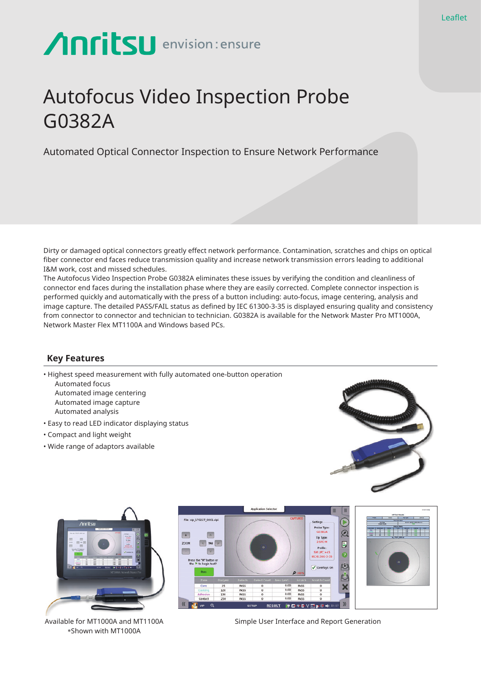# Anritsu envision: ensure

## Autofocus Video Inspection Probe G0382A

Automated Optical Connector Inspection to Ensure Network Performance

Dirty or damaged optical connectors greatly effect network performance. Contamination, scratches and chips on optical fiber connector end faces reduce transmission quality and increase network transmission errors leading to additional I&M work, cost and missed schedules.

The Autofocus Video Inspection Probe G0382A eliminates these issues by verifying the condition and cleanliness of connector end faces during the installation phase where they are easily corrected. Complete connector inspection is performed quickly and automatically with the press of a button including: auto-focus, image centering, analysis and image capture. The detailed PASS/FAIL status as defined by IEC 61300-3-35 is displayed ensuring quality and consistency from connector to connector and technician to technician. G0382A is available for the Network Master Pro MT1000A, Network Master Flex MT1100A and Windows based PCs.

#### **Key Features**

• Highest speed measurement with fully automated one-button operation Automated focus Automated image centering

Automated image capture Automated analysis

- Easy to read LED indicator displaying status
- Compact and light weight
- Wide range of adaptors available





Available for MT1000A and MT1100A \*Shown with MT1000A



Simple User Interface and Report Generation